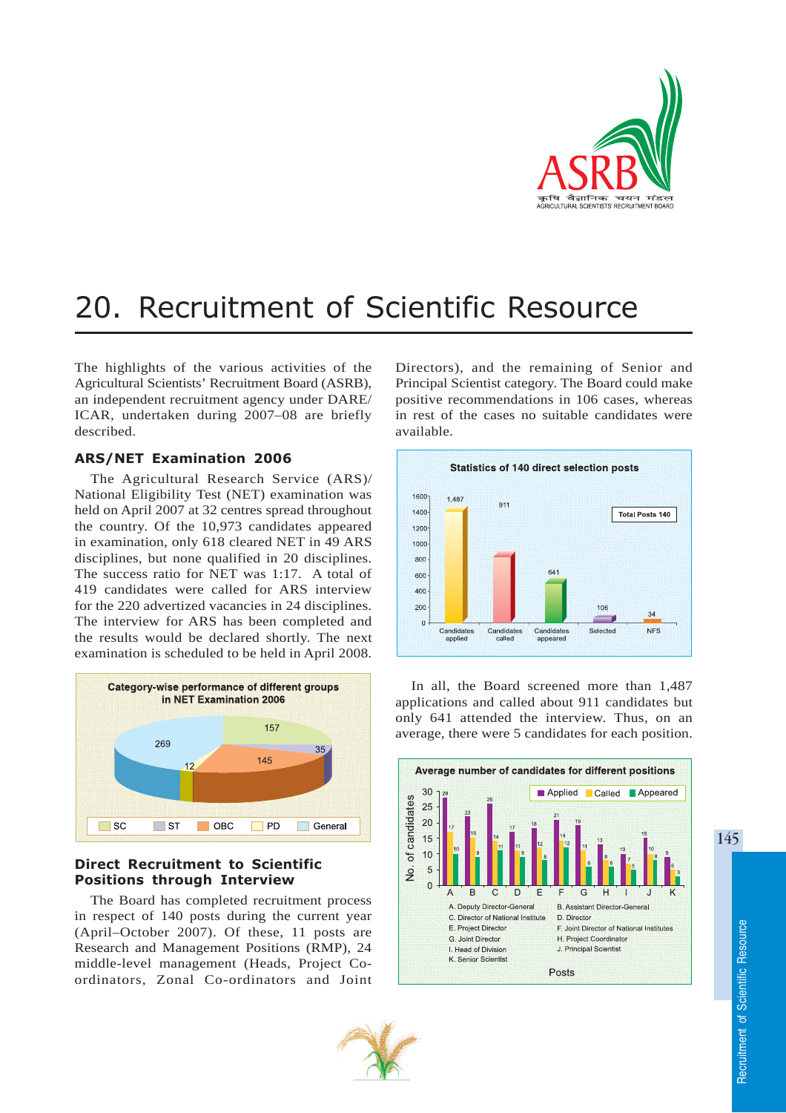

# 20. Recruitment of Scientific Resource

The highlights of the various activities of the Agricultural Scientists' Recruitment Board (ASRB), an independent recruitment agency under DARE/ ICAR, undertaken during 2007–08 are briefly described.

## ARS/NET Examination 2006

The Agricultural Research Service (ARS)/ National Eligibility Test (NET) examination was held on April 2007 at 32 centres spread throughout the country. Of the 10,973 candidates appeared in examination, only 618 cleared NET in 49 ARS disciplines, but none qualified in 20 disciplines. The success ratio for NET was 1:17. A total of 419 candidates were called for ARS interview for the 220 advertized vacancies in 24 disciplines. The interview for ARS has been completed and the results would be declared shortly. The next examination is scheduled to be held in April 2008.



# Direct Recruitment to Scientific Positions through Interview

The Board has completed recruitment process in respect of 140 posts during the current year (April–October 2007). Of these, 11 posts are Research and Management Positions (RMP), 24 middle-level management (Heads, Project Coordinators, Zonal Co-ordinators and Joint

Directors), and the remaining of Senior and Principal Scientist category. The Board could make positive recommendations in 106 cases, whereas in rest of the cases no suitable candidates were available.



In all, the Board screened more than 1,487 applications and called about 911 candidates but only 641 attended the interview. Thus, on an average, there were 5 candidates for each position.